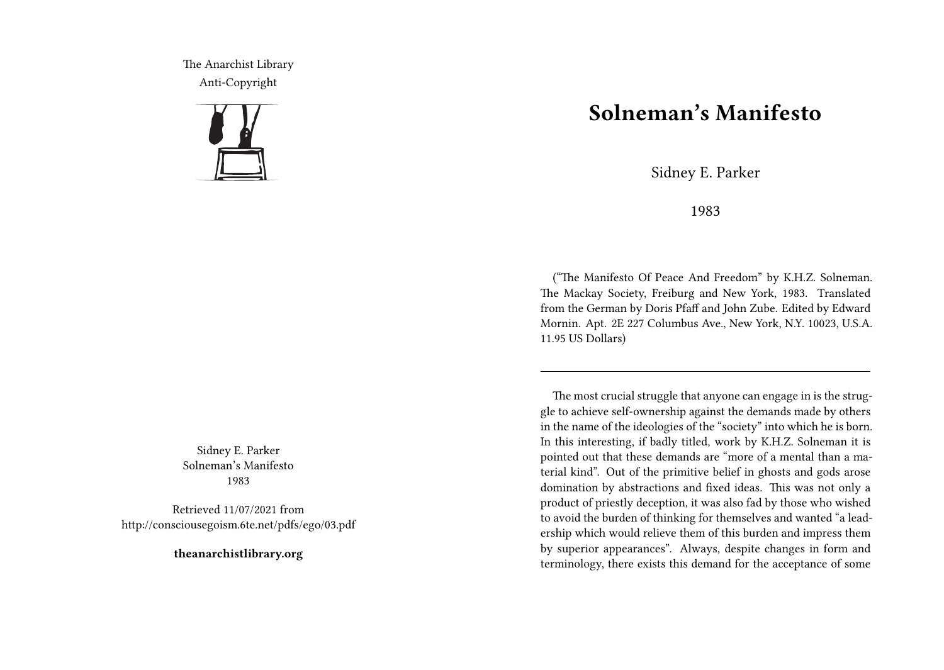The Anarchist Library Anti-Copyright



Sidney E. Parker Solneman's Manifesto 1983

Retrieved 11/07/2021 from http://consciousegoism.6te.net/pdfs/ego/03.pdf

**theanarchistlibrary.org**

## **Solneman's Manifesto**

Sidney E. Parker

1983

("The Manifesto Of Peace And Freedom" by K.H.Z. Solneman. The Mackay Society, Freiburg and New York, 1983. Translated from the German by Doris Pfaff and John Zube. Edited by Edward Mornin. Apt. 2E 227 Columbus Ave., New York, N.Y. 10023, U.S.A. 11.95 US Dollars)

The most crucial struggle that anyone can engage in is the struggle to achieve self-ownership against the demands made by others in the name of the ideologies of the "society" into which he is born. In this interesting, if badly titled, work by K.H.Z. Solneman it is pointed out that these demands are "more of a mental than a material kind". Out of the primitive belief in ghosts and gods arose domination by abstractions and fixed ideas. This was not only a product of priestly deception, it was also fad by those who wished to avoid the burden of thinking for themselves and wanted "a leadership which would relieve them of this burden and impress them by superior appearances". Always, despite changes in form and terminology, there exists this demand for the acceptance of some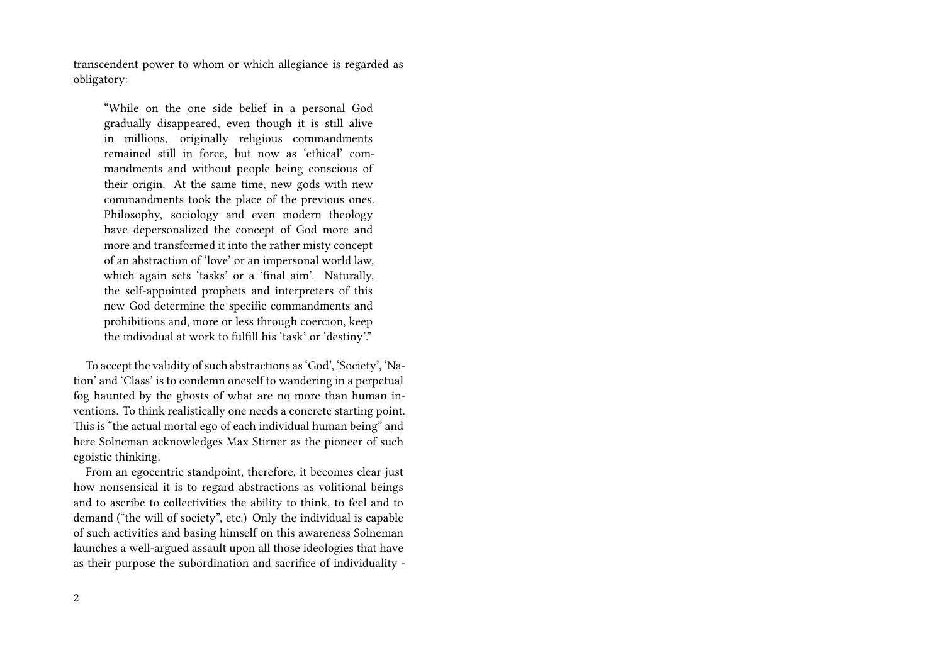transcendent power to whom or which allegiance is regarded as obligatory:

"While on the one side belief in a personal God gradually disappeared, even though it is still alive in millions, originally religious commandments remained still in force, but now as 'ethical' commandments and without people being conscious of their origin. At the same time, new gods with new commandments took the place of the previous ones. Philosophy, sociology and even modern theology have depersonalized the concept of God more and more and transformed it into the rather misty concept of an abstraction of 'love' or an impersonal world law, which again sets 'tasks' or a 'final aim'. Naturally, the self-appointed prophets and interpreters of this new God determine the specific commandments and prohibitions and, more or less through coercion, keep the individual at work to fulfill his 'task' or 'destiny'."

To accept the validity of such abstractions as 'God', 'Society', 'Nation' and 'Class' is to condemn oneself to wandering in a perpetual fog haunted by the ghosts of what are no more than human inventions. To think realistically one needs a concrete starting point. This is "the actual mortal ego of each individual human being" and here Solneman acknowledges Max Stirner as the pioneer of such egoistic thinking.

From an egocentric standpoint, therefore, it becomes clear just how nonsensical it is to regard abstractions as volitional beings and to ascribe to collectivities the ability to think, to feel and to demand ("the will of society", etc.) Only the individual is capable of such activities and basing himself on this awareness Solneman launches a well-argued assault upon all those ideologies that have as their purpose the subordination and sacrifice of individuality -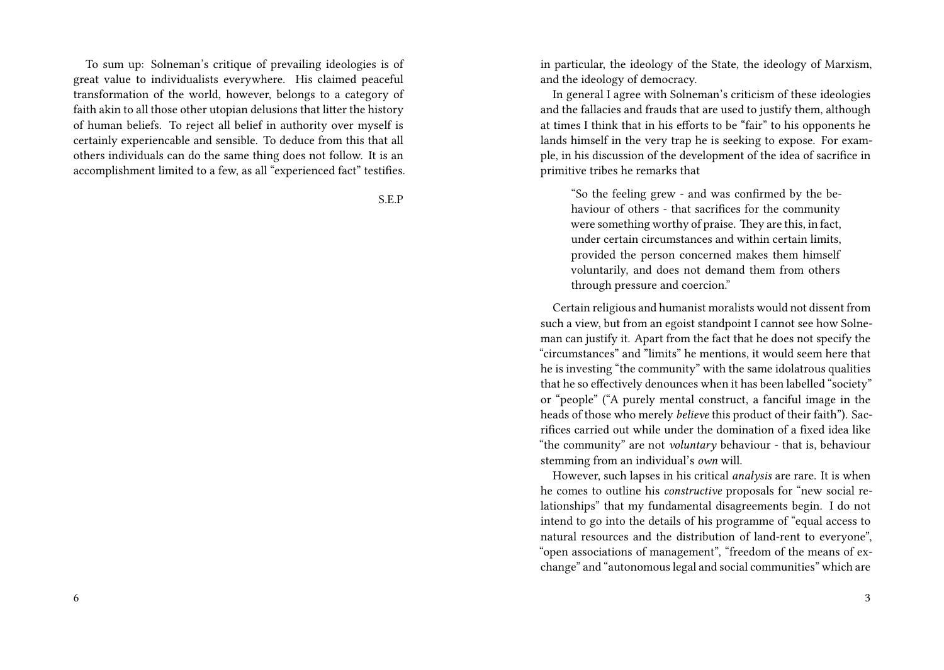To sum up: Solneman's critique of prevailing ideologies is of great value to individualists everywhere. His claimed peaceful transformation of the world, however, belongs to a category of faith akin to all those other utopian delusions that litter the history of human beliefs. To reject all belief in authority over myself is certainly experiencable and sensible. To deduce from this that all others individuals can do the same thing does not follow. It is an accomplishment limited to a few, as all "experienced fact" testifies.

S.E.P

in particular, the ideology of the State, the ideology of Marxism, and the ideology of democracy.

In general I agree with Solneman's criticism of these ideologies and the fallacies and frauds that are used to justify them, although at times I think that in his efforts to be "fair" to his opponents he lands himself in the very trap he is seeking to expose. For example, in his discussion of the development of the idea of sacrifice in primitive tribes he remarks that

"So the feeling grew - and was confirmed by the behaviour of others - that sacrifices for the community were something worthy of praise. They are this, in fact, under certain circumstances and within certain limits, provided the person concerned makes them himself voluntarily, and does not demand them from others through pressure and coercion."

Certain religious and humanist moralists would not dissent from such a view, but from an egoist standpoint I cannot see how Solneman can justify it. Apart from the fact that he does not specify the "circumstances" and "limits" he mentions, it would seem here that he is investing "the community" with the same idolatrous qualities that he so effectively denounces when it has been labelled "society" or "people" ("A purely mental construct, a fanciful image in the heads of those who merely *believe* this product of their faith"). Sacrifices carried out while under the domination of a fixed idea like "the community" are not *voluntary* behaviour - that is, behaviour stemming from an individual's *own* will.

However, such lapses in his critical *analysis* are rare. It is when he comes to outline his *constructive* proposals for "new social relationships" that my fundamental disagreements begin. I do not intend to go into the details of his programme of "equal access to natural resources and the distribution of land-rent to everyone", "open associations of management", "freedom of the means of exchange" and "autonomous legal and social communities" which are